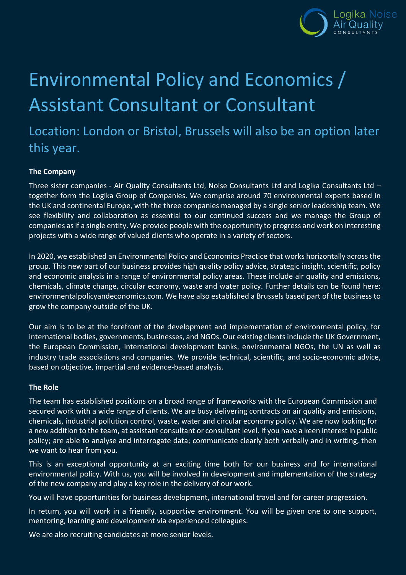

# Environmental Policy and Economics / Assistant Consultant or Consultant

## Location: London or Bristol, Brussels will also be an option later this year.

### **The Company**

Three sister companies - Air Quality Consultants Ltd, Noise Consultants Ltd and Logika Consultants Ltd – together form the Logika Group of Companies. We comprise around 70 environmental experts based in the UK and continental Europe, with the three companies managed by a single senior leadership team. We see flexibility and collaboration as essential to our continued success and we manage the Group of companies as if a single entity. We provide people with the opportunity to progress and work on interesting projects with a wide range of valued clients who operate in a variety of sectors.

In 2020, we established an Environmental Policy and Economics Practice that works horizontally across the group. This new part of our business provides high quality policy advice, strategic insight, scientific, policy and economic analysis in a range of environmental policy areas. These include air quality and emissions, chemicals, climate change, circular economy, waste and water policy. Further details can be found here: environmentalpolicyandeconomics.com. We have also established a Brussels based part of the business to grow the company outside of the UK.

Our aim is to be at the forefront of the development and implementation of environmental policy, for international bodies, governments, businesses, and NGOs. Our existing clients include the UK Government, the European Commission, international development banks, environmental NGOs, the UN as well as industry trade associations and companies. We provide technical, scientific, and socio-economic advice, based on objective, impartial and evidence-based analysis.

#### **The Role**

The team has established positions on a broad range of frameworks with the European Commission and secured work with a wide range of clients. We are busy delivering contracts on air quality and emissions, chemicals, industrial pollution control, waste, water and circular economy policy. We are now looking for a new addition to the team, at assistant consultant or consultant level. If you have a keen interest in public policy; are able to analyse and interrogate data; communicate clearly both verbally and in writing, then we want to hear from you.

This is an exceptional opportunity at an exciting time both for our business and for international environmental policy. With us, you will be involved in development and implementation of the strategy of the new company and play a key role in the delivery of our work.

You will have opportunities for business development, international travel and for career progression.

In return, you will work in a friendly, supportive environment. You will be given one to one support, mentoring, learning and development via experienced colleagues.

We are also recruiting candidates at more senior levels.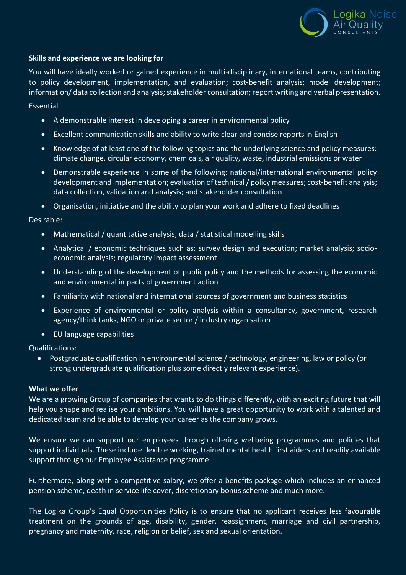

#### **Skills and experience we are looking for**

You will have ideally worked or gained experience in multi-disciplinary, international teams, contributing to policy development, implementation, and evaluation; cost-benefit analysis; model development; information/ data collection and analysis; stakeholder consultation; report writing and verbal presentation.

Essential

- A demonstrable interest in developing a career in environmental policy
- Excellent communication skills and ability to write clear and concise reports in English
- Knowledge of at least one of the following topics and the underlying science and policy measures: climate change, circular economy, chemicals, air quality, waste, industrial emissions or water
- Demonstrable experience in some of the following: national/international environmental policy development and implementation; evaluation of technical / policy measures; cost-benefit analysis; data collection, validation and analysis; and stakeholder consultation
- Organisation, initiative and the ability to plan your work and adhere to fixed deadlines

Desirable:

- Mathematical / quantitative analysis, data / statistical modelling skills
- Analytical / economic techniques such as: survey design and execution; market analysis; socioeconomic analysis; regulatory impact assessment
- Understanding of the development of public policy and the methods for assessing the economic and environmental impacts of government action
- Familiarity with national and international sources of government and business statistics
- Experience of environmental or policy analysis within a consultancy, government, research agency/think tanks, NGO or private sector / industry organisation
- EU language capabilities

Qualifications:

• Postgraduate qualification in environmental science / technology, engineering, law or policy (or strong undergraduate qualification plus some directly relevant experience).

#### **What we offer**

We are a growing Group of companies that wants to do things differently, with an exciting future that will help you shape and realise your ambitions. You will have a great opportunity to work with a talented and dedicated team and be able to develop your career as the company grows.

We ensure we can support our employees through offering wellbeing programmes and policies that support individuals. These include flexible working, trained mental health first aiders and readily available support through our Employee Assistance programme.

Furthermore, along with a competitive salary, we offer a benefits package which includes an enhanced pension scheme, death in service life cover, discretionary bonus scheme and much more.

The Logika Group's Equal Opportunities Policy is to ensure that no applicant receives less favourable treatment on the grounds of age, disability, gender, reassignment, marriage and civil partnership, pregnancy and maternity, race, religion or belief, sex and sexual orientation.